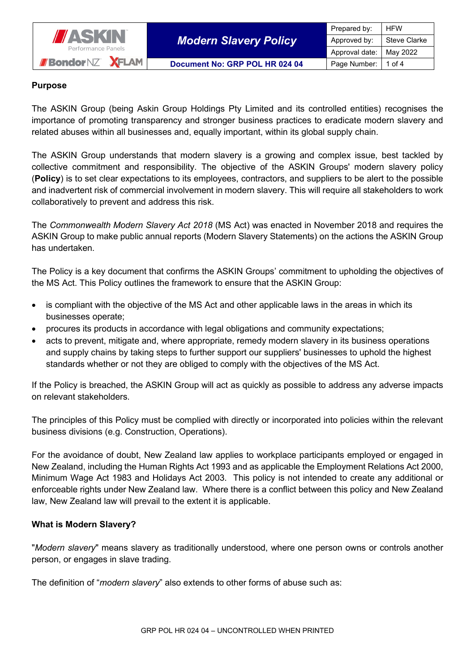

*Modern Slavery Policy*

## **Purpose**

The ASKIN Group (being Askin Group Holdings Pty Limited and its controlled entities) recognises the importance of promoting transparency and stronger business practices to eradicate modern slavery and related abuses within all businesses and, equally important, within its global supply chain.

The ASKIN Group understands that modern slavery is a growing and complex issue, best tackled by collective commitment and responsibility. The objective of the ASKIN Groups' modern slavery policy (**Policy**) is to set clear expectations to its employees, contractors, and suppliers to be alert to the possible and inadvertent risk of commercial involvement in modern slavery. This will require all stakeholders to work collaboratively to prevent and address this risk.

The *Commonwealth Modern Slavery Act 2018* (MS Act) was enacted in November 2018 and requires the ASKIN Group to make public annual reports (Modern Slavery Statements) on the actions the ASKIN Group has undertaken.

The Policy is a key document that confirms the ASKIN Groups' commitment to upholding the objectives of the MS Act. This Policy outlines the framework to ensure that the ASKIN Group:

- is compliant with the objective of the MS Act and other applicable laws in the areas in which its businesses operate;
- procures its products in accordance with legal obligations and community expectations;
- acts to prevent, mitigate and, where appropriate, remedy modern slavery in its business operations and supply chains by taking steps to further support our suppliers' businesses to uphold the highest standards whether or not they are obliged to comply with the objectives of the MS Act.

If the Policy is breached, the ASKIN Group will act as quickly as possible to address any adverse impacts on relevant stakeholders.

The principles of this Policy must be complied with directly or incorporated into policies within the relevant business divisions (e.g. Construction, Operations).

For the avoidance of doubt, New Zealand law applies to workplace participants employed or engaged in New Zealand, including the Human Rights Act 1993 and as applicable the Employment Relations Act 2000, Minimum Wage Act 1983 and Holidays Act 2003. This policy is not intended to create any additional or enforceable rights under New Zealand law. Where there is a conflict between this policy and New Zealand law, New Zealand law will prevail to the extent it is applicable.

## **What is Modern Slavery?**

"*Modern slavery*" means slavery as traditionally understood, where one person owns or controls another person, or engages in slave trading.

The definition of "*modern slavery*" also extends to other forms of abuse such as: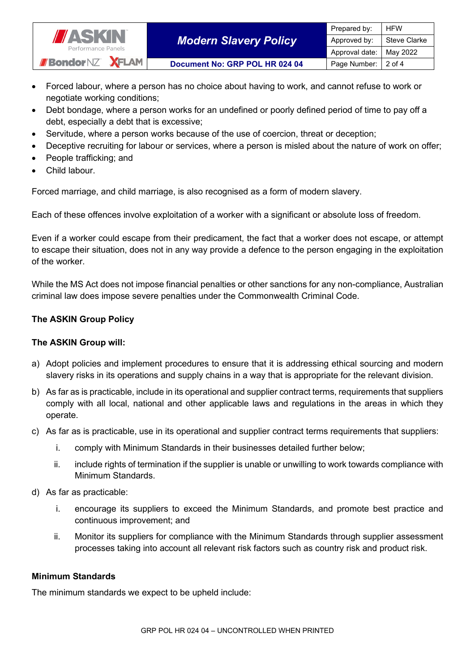

- Forced labour, where a person has no choice about having to work, and cannot refuse to work or negotiate working conditions;
- Debt bondage, where a person works for an undefined or poorly defined period of time to pay off a debt, especially a debt that is excessive;
- Servitude, where a person works because of the use of coercion, threat or deception;
- Deceptive recruiting for labour or services, where a person is misled about the nature of work on offer;
- People trafficking; and
- Child labour.

Forced marriage, and child marriage, is also recognised as a form of modern slavery.

Each of these offences involve exploitation of a worker with a significant or absolute loss of freedom.

Even if a worker could escape from their predicament, the fact that a worker does not escape, or attempt to escape their situation, does not in any way provide a defence to the person engaging in the exploitation of the worker.

While the MS Act does not impose financial penalties or other sanctions for any non-compliance, Australian criminal law does impose severe penalties under the Commonwealth Criminal Code.

## **The ASKIN Group Policy**

## **The ASKIN Group will:**

- a) Adopt policies and implement procedures to ensure that it is addressing ethical sourcing and modern slavery risks in its operations and supply chains in a way that is appropriate for the relevant division.
- b) As far as is practicable, include in its operational and supplier contract terms, requirements that suppliers comply with all local, national and other applicable laws and regulations in the areas in which they operate.
- c) As far as is practicable, use in its operational and supplier contract terms requirements that suppliers:
	- i. comply with Minimum Standards in their businesses detailed further below;
	- ii. include rights of termination if the supplier is unable or unwilling to work towards compliance with Minimum Standards.
- d) As far as practicable:
	- i. encourage its suppliers to exceed the Minimum Standards, and promote best practice and continuous improvement; and
	- ii. Monitor its suppliers for compliance with the Minimum Standards through supplier assessment processes taking into account all relevant risk factors such as country risk and product risk.

#### **Minimum Standards**

The minimum standards we expect to be upheld include: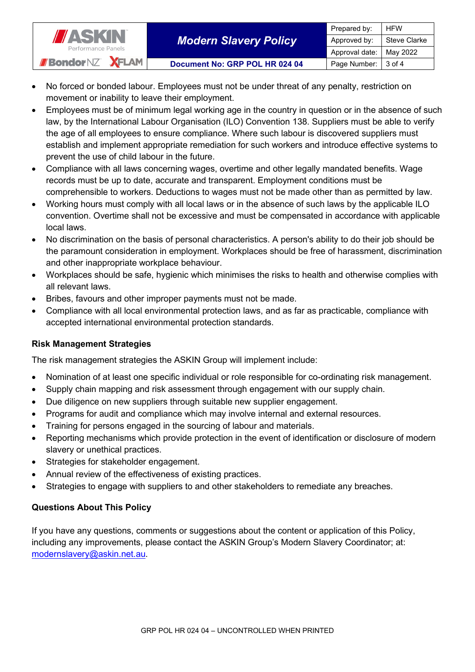

- No forced or bonded labour. Employees must not be under threat of any penalty, restriction on movement or inability to leave their employment.
- Employees must be of minimum legal working age in the country in question or in the absence of such law, by the International Labour Organisation (ILO) Convention 138. Suppliers must be able to verify the age of all employees to ensure compliance. Where such labour is discovered suppliers must establish and implement appropriate remediation for such workers and introduce effective systems to prevent the use of child labour in the future.
- Compliance with all laws concerning wages, overtime and other legally mandated benefits. Wage records must be up to date, accurate and transparent. Employment conditions must be comprehensible to workers. Deductions to wages must not be made other than as permitted by law.
- Working hours must comply with all local laws or in the absence of such laws by the applicable ILO convention. Overtime shall not be excessive and must be compensated in accordance with applicable local laws.
- No discrimination on the basis of personal characteristics. A person's ability to do their job should be the paramount consideration in employment. Workplaces should be free of harassment, discrimination and other inappropriate workplace behaviour.
- Workplaces should be safe, hygienic which minimises the risks to health and otherwise complies with all relevant laws.
- Bribes, favours and other improper payments must not be made.
- Compliance with all local environmental protection laws, and as far as practicable, compliance with accepted international environmental protection standards.

## **Risk Management Strategies**

The risk management strategies the ASKIN Group will implement include:

- Nomination of at least one specific individual or role responsible for co-ordinating risk management.
- Supply chain mapping and risk assessment through engagement with our supply chain.
- Due diligence on new suppliers through suitable new supplier engagement.
- Programs for audit and compliance which may involve internal and external resources.
- Training for persons engaged in the sourcing of labour and materials.
- Reporting mechanisms which provide protection in the event of identification or disclosure of modern slavery or unethical practices.
- Strategies for stakeholder engagement.
- Annual review of the effectiveness of existing practices.
- Strategies to engage with suppliers to and other stakeholders to remediate any breaches.

# **Questions About This Policy**

If you have any questions, comments or suggestions about the content or application of this Policy, including any improvements, please contact the ASKIN Group's Modern Slavery Coordinator; at: [modernslavery@askin.net.au.](mailto:modernslavery@askin.net.au)